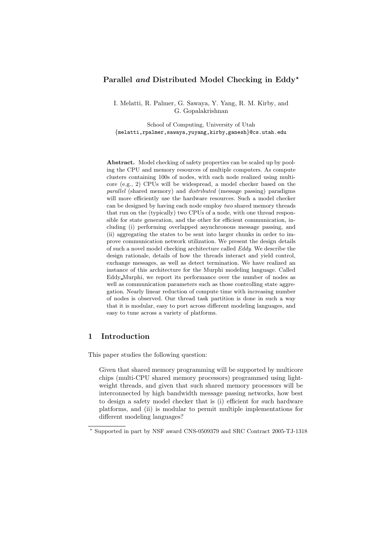# Parallel and Distributed Model Checking in Eddy<sup>\*</sup>

I. Melatti, R. Palmer, G. Sawaya, Y. Yang, R. M. Kirby, and G. Gopalakrishnan

School of Computing, University of Utah {melatti,rpalmer,sawaya,yuyang,kirby,ganesh}@cs.utah.edu

Abstract. Model checking of safety properties can be scaled up by pooling the CPU and memory resources of multiple computers. As compute clusters containing 100s of nodes, with each node realized using multicore (e.g., 2) CPUs will be widespread, a model checker based on the parallel (shared memory) and distributed (message passing) paradigms will more efficiently use the hardware resources. Such a model checker can be designed by having each node employ *two* shared memory threads that run on the (typically) two CPUs of a node, with one thread responsible for state generation, and the other for efficient communication, including (i) performing overlapped asynchronous message passing, and (ii) aggregating the states to be sent into larger chunks in order to improve communication network utilization. We present the design details of such a novel model checking architecture called Eddy. We describe the design rationale, details of how the threads interact and yield control, exchange messages, as well as detect termination. We have realized an instance of this architecture for the Murphi modeling language. Called Eddy Murphi, we report its performance over the number of nodes as well as communication parameters such as those controlling state aggregation. Nearly linear reduction of compute time with increasing number of nodes is observed. Our thread task partition is done in such a way that it is modular, easy to port across different modeling languages, and easy to tune across a variety of platforms.

# 1 Introduction

This paper studies the following question:

Given that shared memory programming will be supported by multicore chips (multi-CPU shared memory processors) programmed using lightweight threads, and given that such shared memory processors will be interconnected by high bandwidth message passing networks, how best to design a safety model checker that is (i) efficient for such hardware platforms, and (ii) is modular to permit multiple implementations for different modeling languages?

<sup>?</sup> Supported in part by NSF award CNS-0509379 and SRC Contract 2005-TJ-1318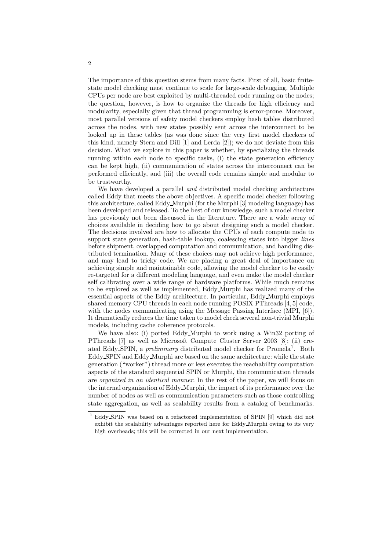The importance of this question stems from many facts. First of all, basic finitestate model checking must continue to scale for large-scale debugging. Multiple CPUs per node are best exploited by multi-threaded code running on the nodes; the question, however, is how to organize the threads for high efficiency and modularity, especially given that thread programming is error-prone. Moreover, most parallel versions of safety model checkers employ hash tables distributed across the nodes, with new states possibly sent across the interconnect to be looked up in these tables (as was done since the very first model checkers of this kind, namely Stern and Dill [1] and Lerda [2]); we do not deviate from this decision. What we explore in this paper is whether, by specializing the threads running within each node to specific tasks, (i) the state generation efficiency can be kept high, (ii) communication of states across the interconnect can be performed efficiently, and (iii) the overall code remains simple and modular to be trustworthy.

We have developed a parallel *and* distributed model checking architecture called Eddy that meets the above objectives. A specific model checker following this architecture, called Eddy Murphi (for the Murphi [3] modeling language) has been developed and released. To the best of our knowledge, such a model checker has previously not been discussed in the literature. There are a wide array of choices available in deciding how to go about designing such a model checker. The decisions involved are how to allocate the CPUs of each compute node to support state generation, hash-table lookup, coalescing states into bigger lines before shipment, overlapped computation and communication, and handling distributed termination. Many of these choices may not achieve high performance, and may lead to tricky code. We are placing a great deal of importance on achieving simple and maintainable code, allowing the model checker to be easily re-targeted for a different modeling language, and even make the model checker self calibrating over a wide range of hardware platforms. While much remains to be explored as well as implemented, Eddy Murphi has realized many of the essential aspects of the Eddy architecture. In particular, Eddy Murphi employs shared memory CPU threads in each node running POSIX PThreads [4, 5] code, with the nodes communicating using the Message Passing Interface (MPI, [6]). It dramatically reduces the time taken to model check several non-trivial Murphi models, including cache coherence protocols.

We have also: (i) ported Eddy Murphi to work using a Win32 porting of PThreads [7] as well as Microsoft Compute Cluster Server 2003 [8]; (ii) created Eddy SPIN, a *preliminary* distributed model checker for Promela<sup>1</sup>. Both Eddy SPIN and Eddy Murphi are based on the same architecture: while the state generation ("worker") thread more or less executes the reachability computation aspects of the standard sequential SPIN or Murphi, the communication threads are organized in an identical manner. In the rest of the paper, we will focus on the internal organization of Eddy Murphi, the impact of its performance over the number of nodes as well as communication parameters such as those controlling state aggregation, as well as scalability results from a catalog of benchmarks.

<sup>1</sup> Eddy SPIN was based on a refactored implementation of SPIN [9] which did not exhibit the scalability advantages reported here for Eddy Murphi owing to its very high overheads; this will be corrected in our next implementation.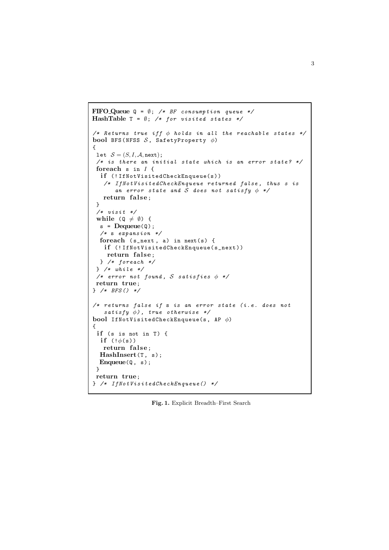```
FIFO Queue Q = \emptyset; /* BF consumption queue */
HashTable T = \emptyset; /* for visited states */
/* Returns true iff \phi holds in all the reachable states */
bool BFS (NFSS S, SafetyProperty \phi)
{
let S = (S, I, A, next);
 /* is there an initial state which is an error state? */
 for<br>each s in I \{if (! IfNotVisitedCheckEnqueue(s))
   /* IfNotVisitedCheckEnqueue returned false, thus s is
      an error state and S does not satisfy \phi */
   return false ;
 }
 /* visit */while (Q \neq \emptyset) {
  s = Dequeue(Q);/* s expansion */foreach (s_{next}, a) in next(s) {
   if (!IfNotVisitedCheckEnqueue(s_next))
    return false ;
  } /* foreach */
 } /* while */
 /* error not found, S satisfies \phi */
return true;
} /* BFS () */
/* returns false if s is an error state (i.e. does not
   satisfy \phi), true otherwise */
bool IfNotVisitedCheckEnqueue(s, AP \phi)
{
 if (s is not in T) {
  if (|\phi(s))return false ;
  HashInsert(T, s);
 Enqueue(Q, s);
}
return true;
} /* IfNotVisitedCheckEnqueue() */
```
Fig. 1. Explicit Breadth–First Search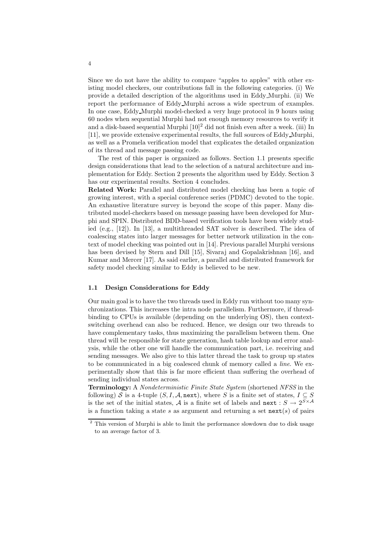Since we do not have the ability to compare "apples to apples" with other existing model checkers, our contributions fall in the following categories. (i) We provide a detailed description of the algorithms used in Eddy Murphi. (ii) We report the performance of Eddy Murphi across a wide spectrum of examples. In one case, Eddy Murphi model-checked a very huge protocol in 9 hours using 60 nodes when sequential Murphi had not enough memory resources to verify it and a disk-based sequential Murphi  $[10]^2$  did not finish even after a week. (iii) In [11], we provide extensive experimental results, the full sources of Eddy Murphi, as well as a Promela verification model that explicates the detailed organization of its thread and message passing code.

The rest of this paper is organized as follows. Section 1.1 presents specific design considerations that lead to the selection of a natural architecture and implementation for Eddy. Section 2 presents the algorithm used by Eddy. Section 3 has our experimental results. Section 4 concludes.

Related Work: Parallel and distributed model checking has been a topic of growing interest, with a special conference series (PDMC) devoted to the topic. An exhaustive literature survey is beyond the scope of this paper. Many distributed model-checkers based on message passing have been developed for Murphi and SPIN. Distributed BDD-based verification tools have been widely studied (e.g., [12]). In [13], a multithreaded SAT solver is described. The idea of coalescing states into larger messages for better network utilization in the context of model checking was pointed out in [14]. Previous parallel Murphi versions has been devised by Stern and Dill [15], Sivaraj and Gopalakrishnan [16], and Kumar and Mercer [17]. As said earlier, a parallel and distributed framework for safety model checking similar to Eddy is believed to be new.

### 1.1 Design Considerations for Eddy

Our main goal is to have the two threads used in Eddy run without too many synchronizations. This increases the intra node parallelism. Furthermore, if threadbinding to CPUs is available (depending on the underlying OS), then contextswitching overhead can also be reduced. Hence, we design our two threads to have complementary tasks, thus maximizing the parallelism between them. One thread will be responsible for state generation, hash table lookup and error analysis, while the other one will handle the communication part, i.e. receiving and sending messages. We also give to this latter thread the task to group up states to be communicated in a big coalesced chunk of memory called a line. We experimentally show that this is far more efficient than suffering the overhead of sending individual states across.

Terminology: A Nondeterministic Finite State System (shortened NFSS in the following) S is a 4-tuple  $(S, I, \mathcal{A}, \text{next})$ , where S is a finite set of states,  $I \subseteq S$ is the set of the initial states, A is a finite set of labels and  $next: S \rightarrow 2^{S \times A}$ is a function taking a state s as argument and returning a set  $next(s)$  of pairs

<sup>&</sup>lt;sup>2</sup> This version of Murphi is able to limit the performance slowdown due to disk usage to an average factor of 3.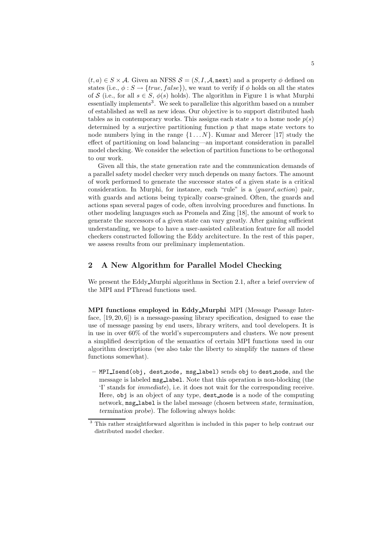$(t, a) \in S \times A$ . Given an NFSS  $S = (S, I, A, \text{next})$  and a property  $\phi$  defined on states (i.e.,  $\phi : S \to \{true, false\}$ ), we want to verify if  $\phi$  holds on all the states of S (i.e., for all  $s \in S$ ,  $\phi(s)$  holds). The algorithm in Figure 1 is what Murphi essentially implements<sup>3</sup>. We seek to parallelize this algorithm based on a number of established as well as new ideas. Our objective is to support distributed hash tables as in contemporary works. This assigns each state s to a home node  $p(s)$ determined by a surjective partitioning function  $p$  that maps state vectors to node numbers lying in the range  $\{1...N\}$ . Kumar and Mercer [17] study the effect of partitioning on load balancing—an important consideration in parallel model checking. We consider the selection of partition functions to be orthogonal to our work.

Given all this, the state generation rate and the communication demands of a parallel safety model checker very much depends on many factors. The amount of work performed to generate the successor states of a given state is a critical consideration. In Murphi, for instance, each "rule" is a  $\langle quard, action \rangle$  pair, with guards and actions being typically coarse-grained. Often, the guards and actions span several pages of code, often involving procedures and functions. In other modeling languages such as Promela and Zing [18], the amount of work to generate the successors of a given state can vary greatly. After gaining sufficient understanding, we hope to have a user-assisted calibration feature for all model checkers constructed following the Eddy architecture. In the rest of this paper, we assess results from our preliminary implementation.

## 2 A New Algorithm for Parallel Model Checking

We present the Eddy Murphi algorithms in Section 2.1, after a brief overview of the MPI and PThread functions used.

MPI functions employed in Eddy Murphi MPI (Message Passage Interface, [19, 20, 6]) is a message-passing library specification, designed to ease the use of message passing by end users, library writers, and tool developers. It is in use in over 60% of the world's supercomputers and clusters. We now present a simplified description of the semantics of certain MPI functions used in our algorithm descriptions (we also take the liberty to simplify the names of these functions somewhat).

– MPI Isend(obj, dest node, msg label) sends obj to dest node, and the message is labeled msg label. Note that this operation is non-blocking (the 'I' stands for immediate), i.e. it does not wait for the corresponding receive. Here, obj is an object of any type, dest node is a node of the computing network, msg label is the label message (chosen between state, termination, termination probe). The following always holds:

<sup>&</sup>lt;sup>3</sup> This rather straightforward algorithm is included in this paper to help contrast our distributed model checker.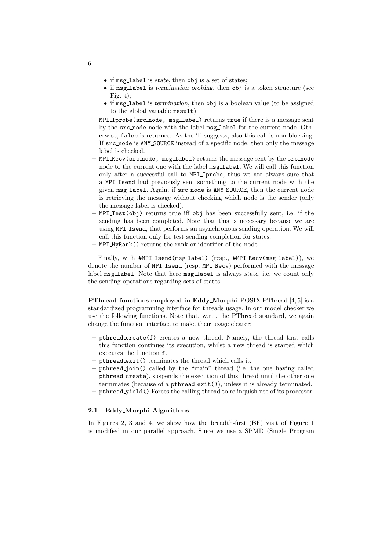- $\bullet$  if msg\_label is state, then obj is a set of states;
- if msg\_label is termination probing, then obj is a token structure (see Fig. 4);
- if msg label is termination, then obj is a boolean value (to be assigned to the global variable result).
- MPI Iprobe(src node, msg label) returns true if there is a message sent by the src node node with the label msg label for the current node. Otherwise, false is returned. As the 'I' suggests, also this call is non-blocking. If src node is ANY SOURCE instead of a specific node, then only the message label is checked.
- MPI Recv(src node, msg label) returns the message sent by the src node node to the current one with the label msg label. We will call this function only after a successful call to MPI Iprobe, thus we are always sure that a MPI Isend had previously sent something to the current node with the given msg label. Again, if src node is ANY SOURCE, then the current node is retrieving the message without checking which node is the sender (only the message label is checked).
- MPI Test(obj) returns true iff obj has been successfully sent, i.e. if the sending has been completed. Note that this is necessary because we are using MPI Isend, that performs an asynchronous sending operation. We will call this function only for test sending completion for states.
- MPI MyRank() returns the rank or identifier of the node.

Finally, with #MPI\_Isend(msg\_label) (resp., #MPI\_Recv(msg\_label)), we denote the number of MPI Isend (resp. MPI Recv) performed with the message label msg\_label. Note that here msg\_label is always state, i.e. we count only the sending operations regarding sets of states.

PThread functions employed in Eddy Murphi POSIX PThread [4, 5] is a standardized programming interface for threads usage. In our model checker we use the following functions. Note that, w.r.t. the PThread standard, we again change the function interface to make their usage clearer:

- pthread create(f) creates a new thread. Namely, the thread that calls this function continues its execution, whilst a new thread is started which executes the function f.
- pthread exit() terminates the thread which calls it.
- pthread join() called by the "main" thread (i.e. the one having called pthread create), suspends the execution of this thread until the other one terminates (because of a pthread exit()), unless it is already terminated.
- pthread yield() Forces the calling thread to relinquish use of its processor.

## 2.1 Eddy Murphi Algorithms

In Figures 2, 3 and 4, we show how the breadth-first (BF) visit of Figure 1 is modified in our parallel approach. Since we use a SPMD (Single Program

6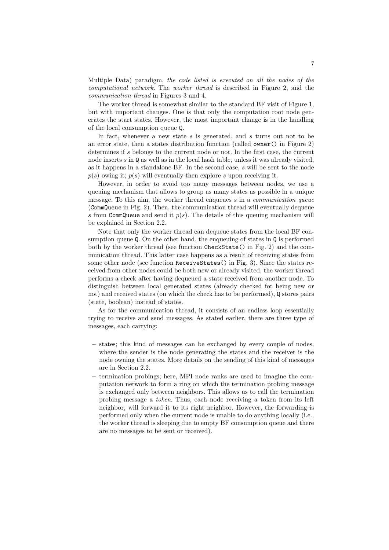Multiple Data) paradigm, the code listed is executed on all the nodes of the computational network. The worker thread is described in Figure 2, and the communication thread in Figures 3 and 4.

The worker thread is somewhat similar to the standard BF visit of Figure 1, but with important changes. One is that only the computation root node generates the start states. However, the most important change is in the handling of the local consumption queue Q.

In fact, whenever a new state  $s$  is generated, and  $s$  turns out not to be an error state, then a states distribution function (called owner() in Figure 2) determines if s belongs to the current node or not. In the first case, the current node inserts  $s$  in  $\mathbb Q$  as well as in the local hash table, unless it was already visited, as it happens in a standalone BF. In the second case, s will be sent to the node  $p(s)$  owing it;  $p(s)$  will eventually then explore s upon receiving it.

However, in order to avoid too many messages between nodes, we use a queuing mechanism that allows to group as many states as possible in a unique message. To this aim, the worker thread enqueues s in a *communication queue* (CommQueue in Fig. 2). Then, the communication thread will eventually dequeue s from CommQueue and send it  $p(s)$ . The details of this queuing mechanism will be explained in Section 2.2.

Note that only the worker thread can dequeue states from the local BF consumption queue Q. On the other hand, the enqueuing of states in Q is performed both by the worker thread (see function CheckState() in Fig. 2) and the communication thread. This latter case happens as a result of receiving states from some other node (see function ReceiveStates() in Fig. 3). Since the states received from other nodes could be both new or already visited, the worker thread performs a check after having dequeued a state received from another node. To distinguish between local generated states (already checked for being new or not) and received states (on which the check has to be performed), Q stores pairs (state, boolean) instead of states.

As for the communication thread, it consists of an endless loop essentially trying to receive and send messages. As stated earlier, there are three type of messages, each carrying:

- states; this kind of messages can be exchanged by every couple of nodes, where the sender is the node generating the states and the receiver is the node owning the states. More details on the sending of this kind of messages are in Section 2.2.
- termination probings; here, MPI node ranks are used to imagine the computation network to form a ring on which the termination probing message is exchanged only between neighbors. This allows us to call the termination probing message a token. Thus, each node receiving a token from its left neighbor, will forward it to its right neighbor. However, the forwarding is performed only when the current node is unable to do anything locally (i.e., the worker thread is sleeping due to empty BF consumption queue and there are no messages to be sent or received).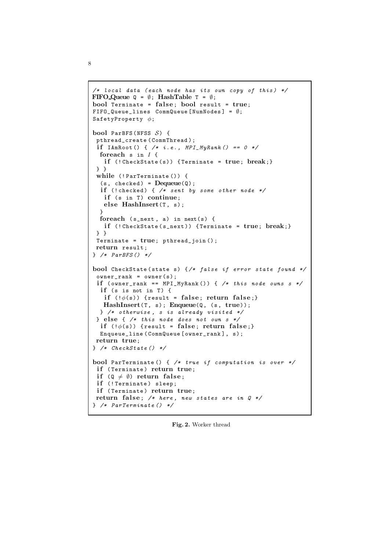```
/* local data (each node has its own copy of this) */
FIFO Queue Q = \emptyset; HashTable T = \emptyset;
bool Terminate = false; bool result = true;
FIFO_Queue_lines CommQueue[NumNodes] = \emptyset;
SafetyProperty \phi;
bool ParBFS (NFSS S) {
 pthread_create ( CommThread );
 if IAmRoot () { /* i.e., MPI_MyRank() == 0 */for each s in I \{if (! \text{CheckState}(s)) { Terminate = true; break; }
 } }
 while (! ParTerminate ()) {
  (s, checked) = Dequeue(Q);if (! checked) { /* sent by some other node */if (s in T) continue;
   else HashInsert(T, s);
  }
  foreach (s_{next}, a) in next(s) {
   if (! \text{CheckState}( s \text{__next}) ) {Terminate = true; break;}
 } }
 Terminate = true; pthread_join () ;
return result:
\} /* ParBFS() */
bool CheckState (state s) \{\n  \}/* false if error state found */owner\_rank = owner(s);if ( owner_rank == MPI_MyRank() ) { /* this node owns s */
  if (s is not in T) {
   if (|\phi(s)) {result = false; return false;}
   HashInsert(T, s); Enqueue(Q, (s, true));} /* otherwise , s is already visited */
 } else { /* this node does not own s */
  if (|\phi(s)) {result = false; return false;}
  Enqueue_line ( CommQueue [ owner_rank ], s);
 return true;
\} /* CheckState() */
bool ParTerminate () { /* true if computation is over */
 if (Terminate) return true;
 if (Q \neq \emptyset) return false;
if (! Terminate) sleep;
if (Terminate) return true;
return false; /* here, new states are in Q \neq/
} /* ParTerminate () */
```
Fig. 2. Worker thread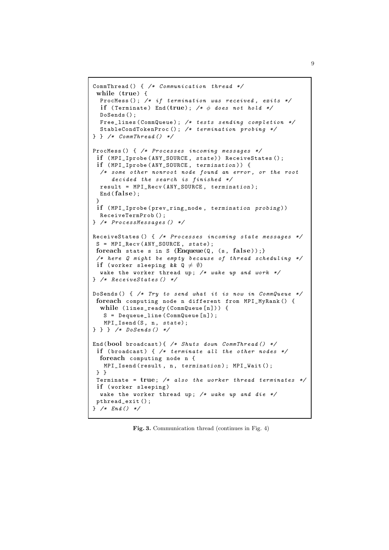```
CommThread () { /* Communication thread */
 while (true) {
  ProcMess (); /* if termination was received, exits */if (Terminate) End (true); /* \phi does not hold */
  DoSends () ;
  Free_lines ( CommQueue ) ; /* tests sending completion */
  StableCondTokenProc () ; /* termination probing */
} } /* CommThread () */
ProcMess () { /* Processes incoming messages */
 if ( MPI_Iprobe ( ANY_SOURCE , state )) ReceiveStates () ;
 if ( MPI_Iprobe ( ANY_SOURCE , termination )) {
  /* some other nonroot node found an error , or the root
     decided the search is finished */
  result = MPI_Recv ( ANY_SOURCE , termination );
 End (false);
\mathbf{r}if ( MPI_Iprobe ( prev_ring_node , termination probing ))
  ReceiveTermProb () ;
} /* ProcessMessages () */
ReceiveStates () { /* Processes incoming state messages */
S = MPI_{Recv} (ANY_{SOURCE, state);foreach state s in S {Enqueue(Q, (s, false))};/* here Q might be empty because of thread scheduling */
if (worker sleeping && Q \neq \emptyset)
  wake the worker thread up; /* wake up and work */} /* ReceiveStates () */
DoSends () { /* Try to send what it is now in CommQueue */
foreach computing node n different from MPI_MyRank () {
  while ( lines_ready ( CommQueue [n]) ) {
   S = Dequeue_line ( CommQueue [n]) ;
  MPI_Isend (S, n, state);
} } } /* DoSends () */
End (bool broadcast) { /* Shuts down CommThread () */
 if (broadcast) { /* terminate all the other nodes */foreach computing node n {
  MPI_Isend (result, n, termination); MPI_Wait ();
} }
Terminate = true; /* also the worker thread terminates */
if (worker sleeping)
 wake the worker thread up; /* wake up and die */pthread_exit () ;
} / * End() * /
```
Fig. 3. Communication thread (continues in Fig. 4)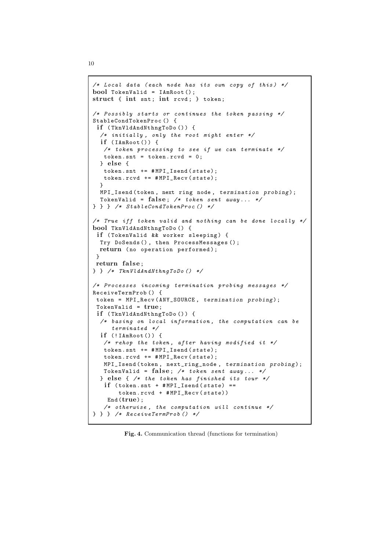```
/* Local data (each node has its own copy of this) */
bool TokenValid = IAmRoot () ;
struct { int snt; int rcvd; } token;
/* Possibly starts or continues the token passing */
StableCondTokenProc () {
 if ( TknVldAndNthngToDo () ) {
  /* initially , only the root might enter */
  if ( IAmRoot () ) {
   /* token processing to see if we can terminate */token. snt = token. rcvd = 0;} else {
  token.snt += #MPI_Isend(state);
   token. rcvd += #MPI Recv (state):
 }
 MPI_Isend (token, next ring node, termination probing);
 TokenValid = false; /* token sent away... */
} } } /* StableCondTokenProc () */
/* True iff token valid and nothing can be done locally */bool TknVldAndNthngToDo () {
if (TokenValid && worker sleeping) {
 Try DoSends () , then ProcessMessages () ;
 return (no operation performed);
}
return false ;
} \frac{1}{2} /* TknVldAndNthngToDo() */
/* Processes incoming termination probing messages */
ReceiveTermProb () {
 token = MPI_Recv ( ANY_SOURCE , termination probing );
TokenValid = true;
if ( TknVldAndNthngToDo () ) {
  /* basing on local information , the computation can be
     terminated */
  if (!IAmRoot()) {
   /* rehop the token, after having modified it */
   token.snt += #MPI_Isend(state);token.rcvd += #MPI_{Recv}(state);MPI_Isend (token, next_ring_node, termination probing);
  TokenValid = false; /* token sent away... */
  } else { /* the token has finished its tour */
   if (token.snt + #MPI_Isend (state) ==
       token . rcvd + # MPI_Recv ( state))
    End (true);
   /* otherwise, the computation will continue */} } } /* ReceiveTermProb() */
```
Fig. 4. Communication thread (functions for termination)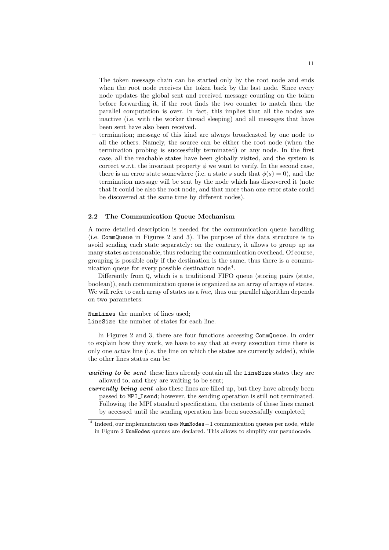The token message chain can be started only by the root node and ends when the root node receives the token back by the last node. Since every node updates the global sent and received message counting on the token before forwarding it, if the root finds the two counter to match then the parallel computation is over. In fact, this implies that all the nodes are inactive (i.e. with the worker thread sleeping) and all messages that have been sent have also been received.

– termination; message of this kind are always broadcasted by one node to all the others. Namely, the source can be either the root node (when the termination probing is successfully terminated) or any node. In the first case, all the reachable states have been globally visited, and the system is correct w.r.t. the invariant property  $\phi$  we want to verify. In the second case, there is an error state somewhere (i.e. a state s such that  $\phi(s) = 0$ ), and the termination message will be sent by the node which has discovered it (note that it could be also the root node, and that more than one error state could be discovered at the same time by different nodes).

#### 2.2 The Communication Queue Mechanism

A more detailed description is needed for the communication queue handling (i.e. CommQueue in Figures 2 and 3). The purpose of this data structure is to avoid sending each state separately: on the contrary, it allows to group up as many states as reasonable, thus reducing the communication overhead. Of course, grouping is possible only if the destination is the same, thus there is a communication queue for every possible destination node<sup>4</sup>.

Differently from  $\mathbb Q$ , which is a traditional FIFO queue (storing pairs (state, boolean)), each communication queue is organized as an array of arrays of states. We will refer to each array of states as a *line*, thus our parallel algorithm depends on two parameters:

NumLines the number of lines used; LineSize the number of states for each line.

In Figures 2 and 3, there are four functions accessing CommQueue. In order to explain how they work, we have to say that at every execution time there is only one active line (i.e. the line on which the states are currently added), while the other lines status can be:

- waiting to be sent these lines already contain all the LineSize states they are allowed to, and they are waiting to be sent;
- currently being sent also these lines are filled up, but they have already been passed to MPI Isend; however, the sending operation is still not terminated. Following the MPI standard specification, the contents of these lines cannot by accessed until the sending operation has been successfully completed;

<sup>4</sup> Indeed, our implementation uses NumNodes−1 communication queues per node, while in Figure 2 NumNodes queues are declared. This allows to simplify our pseudocode.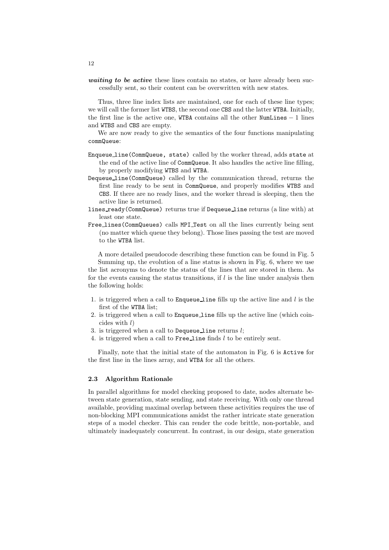waiting to be active these lines contain no states, or have already been successfully sent, so their content can be overwritten with new states.

Thus, three line index lists are maintained, one for each of these line types; we will call the former list WTBS, the second one CBS and the latter WTBA. Initially, the first line is the active one, WTBA contains all the other NumLines − 1 lines and WTBS and CBS are empty.

We are now ready to give the semantics of the four functions manipulating commQueue:

- Enqueue line(CommQueue, state) called by the worker thread, adds state at the end of the active line of CommQueue. It also handles the active line filling, by properly modifying WTBS and WTBA.
- Dequeue line(CommQueue) called by the communication thread, returns the first line ready to be sent in CommQueue, and properly modifies WTBS and CBS. If there are no ready lines, and the worker thread is sleeping, then the active line is returned.
- lines ready(CommQueue) returns true if Dequeue line returns (a line with) at least one state.
- Free lines(CommQueues) calls MPI Test on all the lines currently being sent (no matter which queue they belong). Those lines passing the test are moved to the WTBA list.

A more detailed pseudocode describing these function can be found in Fig. 5 Summing up, the evolution of a line status is shown in Fig. 6, where we use the list acronyms to denote the status of the lines that are stored in them. As for the events causing the status transitions, if  $l$  is the line under analysis then the following holds:

- 1. is triggered when a call to Enqueue line fills up the active line and  $l$  is the first of the WTBA list;
- 2. is triggered when a call to Enqueue line fills up the active line (which coincides with  $l$ )
- 3. is triggered when a call to Dequeue line returns  $l$ ;
- 4. is triggered when a call to  $Free$  line finds  $l$  to be entirely sent.

Finally, note that the initial state of the automaton in Fig. 6 is Active for the first line in the lines array, and WTBA for all the others.

### 2.3 Algorithm Rationale

In parallel algorithms for model checking proposed to date, nodes alternate between state generation, state sending, and state receiving. With only one thread available, providing maximal overlap between these activities requires the use of non-blocking MPI communications amidst the rather intricate state generation steps of a model checker. This can render the code brittle, non-portable, and ultimately inadequately concurrent. In contrast, in our design, state generation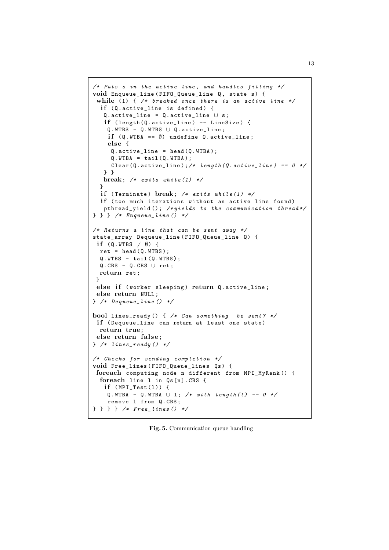```
/* Puts s in the active line, and handles filling */void Enqueue_line (FIFO_Queue_line Q, state s) {
 while (1) { /* breaked once there is an active line */if (Q.\text{active}\_ \text{line} is defined) {
   Q. active_line = Q. active_line ∪ s;
   if (length(Q.\text{active}\_ \text{line}) =  LineSize) {
    Q.WTBS = Q.WTBS \cup Q. active\_line;if (Q.WTBA == \emptyset) undefine Q. active_line;
    else {
     Q.\,active\_line = head(Q.WTBA);
     Q. WTBA = tail(Q. WTBA);
     Clear (Q. active_line); /* length(Q. active\_line) == 0 */} }
   break; /* exits while (1) */
  }
  if (Terminate) break; /* exits while (1) */
  if (too much iterations without an active line found)
   pthread_yield (); /*yields to the communication thread*/
} } } /* Enqueue_line () */
/* Returns a line that can be sent away */
state_array Dequeue_line ( FIFO_Queue_line Q) {
 if (Q.WTBS \neq \emptyset) {
 ret = head(Q.WTBS);
  Q.WTBS = tail(Q.WTBS);Q.CBS = Q.CBS \cup ret;return ret ;
 }
 else if (worker sleeping) return Q. active_line;
 else return NULL ;
} /* Dequeue_line () */
bool lines_ready () { /* Can something be sent? */
 if ( Dequeue_line can return at least one state )
 return true;
 else return false ;
} /* lines_ready () */
/* Checks for sending completion */
void Free_lines ( FIFO_Queue_lines Qs) {
 foreach computing node n different from MPI_MyRank () {
  foreach line 1 in Qs[n]. CBS {
   if (MPI\_Test(1)) {
    Q.WTBA = Q.WTBA \cup 1; /* with length (l) == 0 */
    remove l from Q. CBS ;
} } } } /* Free_lines () */
```
Fig. 5. Communication queue handling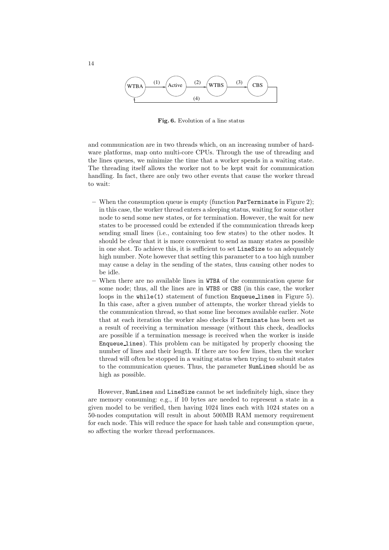

Fig. 6. Evolution of a line status

and communication are in two threads which, on an increasing number of hardware platforms, map onto multi-core CPUs. Through the use of threading and the lines queues, we minimize the time that a worker spends in a waiting state. The threading itself allows the worker not to be kept wait for communication handling. In fact, there are only two other events that cause the worker thread to wait:

- When the consumption queue is empty (function ParTerminate in Figure 2); in this case, the worker thread enters a sleeping status, waiting for some other node to send some new states, or for termination. However, the wait for new states to be processed could be extended if the communication threads keep sending small lines (i.e., containing too few states) to the other nodes. It should be clear that it is more convenient to send as many states as possible in one shot. To achieve this, it is sufficient to set LineSize to an adequately high number. Note however that setting this parameter to a too high number may cause a delay in the sending of the states, thus causing other nodes to be idle.
- When there are no available lines in WTBA of the communication queue for some node; thus, all the lines are in WTBS or CBS (in this case, the worker loops in the while(1) statement of function Enqueue lines in Figure 5). In this case, after a given number of attempts, the worker thread yields to the communication thread, so that some line becomes available earlier. Note that at each iteration the worker also checks if Terminate has been set as a result of receiving a termination message (without this check, deadlocks are possible if a termination message is received when the worker is inside Enqueue lines). This problem can be mitigated by properly choosing the number of lines and their length. If there are too few lines, then the worker thread will often be stopped in a waiting status when trying to submit states to the communication queues. Thus, the parameter NumLines should be as high as possible.

However, NumLines and LineSize cannot be set indefinitely high, since they are memory consuming: e.g., if 10 bytes are needed to represent a state in a given model to be verified, then having 1024 lines each with 1024 states on a 50-nodes computation will result in about 500MB RAM memory requirement for each node. This will reduce the space for hash table and consumption queue, so affecting the worker thread performances.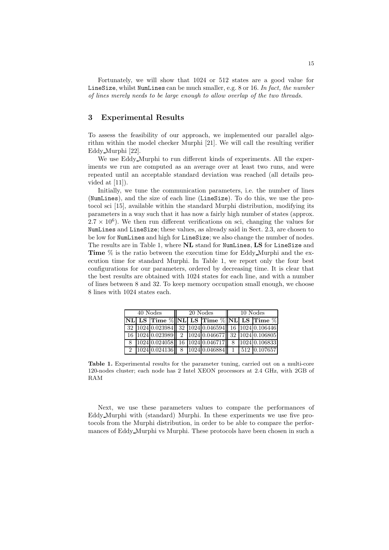Fortunately, we will show that 1024 or 512 states are a good value for LineSize, whilst NumLines can be much smaller, e.g.  $8$  or 16. In fact, the number of lines merely needs to be large enough to allow overlap of the two threads.

## 3 Experimental Results

To assess the feasibility of our approach, we implemented our parallel algorithm within the model checker Murphi [21]. We will call the resulting verifier Eddy Murphi [22].

We use Eddy Murphi to run different kinds of experiments. All the experiments we run are computed as an average over at least two runs, and were repeated until an acceptable standard deviation was reached (all details provided at  $[11]$ .

Initially, we tune the communication parameters, i.e. the number of lines (NumLines), and the size of each line (LineSize). To do this, we use the protocol sci [15], available within the standard Murphi distribution, modifying its parameters in a way such that it has now a fairly high number of states (approx.  $2.7 \times 10^6$ ). We then run different verifications on sci, changing the values for NumLines and LineSize; these values, as already said in Sect. 2.3, are chosen to be low for NumLines and high for LineSize; we also change the number of nodes. The results are in Table 1, where NL stand for NumLines, LS for LineSize and Time % is the ratio between the execution time for Eddy Murphi and the execution time for standard Murphi. In Table 1, we report only the four best configurations for our parameters, ordered by decreasing time. It is clear that the best results are obtained with 1024 states for each line, and with a number of lines between 8 and 32. To keep memory occupation small enough, we choose 8 lines with 1024 states each.

| 40 Nodes |  |  | $\parallel$ 20 Nodes |  |                                                                          | 10 Nodes |  |  |
|----------|--|--|----------------------|--|--------------------------------------------------------------------------|----------|--|--|
|          |  |  |                      |  | $\overline{\text{NL}}$ LS Time $\%$ NL LS Time $\%$ NL LS Time $\%$      |          |  |  |
|          |  |  |                      |  | 32  1024   0.023984   32   1024   0.046594   16   1024   0.106446        |          |  |  |
|          |  |  |                      |  | 16   1024   0.023989   2   1024   0.046677   32   1024   0.106805        |          |  |  |
|          |  |  |                      |  | 8   1024   0.024058   16   1024   0.046717   8   1024   0.106833         |          |  |  |
|          |  |  |                      |  | 2   $1024 \mid 0.024136$   8   $1024 \mid 0.046884$   1   512   0.107657 |          |  |  |

Table 1. Experimental results for the parameter tuning, carried out on a multi-core 120-nodes cluster; each node has 2 Intel XEON processors at 2.4 GHz, with 2GB of RAM

Next, we use these parameters values to compare the performances of Eddy Murphi with (standard) Murphi. In these experiments we use five protocols from the Murphi distribution, in order to be able to compare the performances of Eddy Murphi vs Murphi. These protocols have been chosen in such a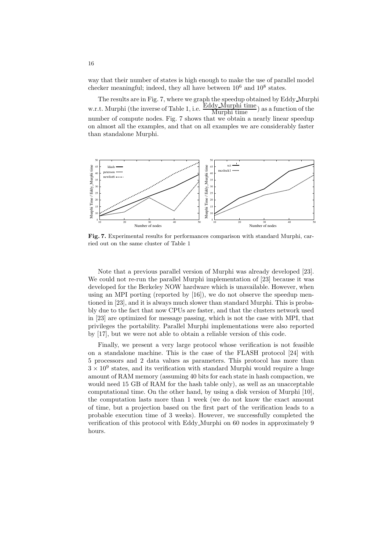way that their number of states is high enough to make the use of parallel model checker meaningful; indeed, they all have between  $10^6$  and  $10^8$  states.

The results are in Fig. 7, where we graph the speedup obtained by Eddy Murphi w.r.t. Murphi (the inverse of Table 1, i.e.  $\frac{\text{Eddy-Murphi time}}{\text{Murphi time}}$ ) as a function of the number of compute nodes. Fig. 7 shows that we obtain a nearly linear speedup on almost all the examples, and that on all examples we are considerably faster than standalone Murphi.



Fig. 7. Experimental results for performances comparison with standard Murphi, carried out on the same cluster of Table 1

Note that a previous parallel version of Murphi was already developed [23]. We could not re-run the parallel Murphi implementation of [23] because it was developed for the Berkeley NOW hardware which is unavailable. However, when using an MPI porting (reported by  $[16]$ ), we do not observe the speedup mentioned in [23], and it is always much slower than standard Murphi. This is probably due to the fact that now CPUs are faster, and that the clusters network used in [23] are optimized for message passing, which is not the case with MPI, that privileges the portability. Parallel Murphi implementations were also reported by [17], but we were not able to obtain a reliable version of this code.

Finally, we present a very large protocol whose verification is not feasible on a standalone machine. This is the case of the FLASH protocol [24] with 5 processors and 2 data values as parameters. This protocol has more than  $3 \times 10^9$  states, and its verification with standard Murphi would require a huge amount of RAM memory (assuming 40 bits for each state in hash compaction, we would need 15 GB of RAM for the hash table only), as well as an unacceptable computational time. On the other hand, by using a disk version of Murphi [10], the computation lasts more than 1 week (we do not know the exact amount of time, but a projection based on the first part of the verification leads to a probable execution time of 3 weeks). However, we successfully completed the verification of this protocol with Eddy Murphi on 60 nodes in approximately 9 hours.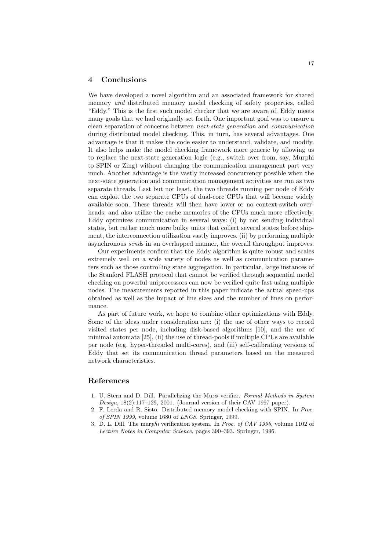## 4 Conclusions

We have developed a novel algorithm and an associated framework for shared memory and distributed memory model checking of safety properties, called "Eddy." This is the first such model checker that we are aware of. Eddy meets many goals that we had originally set forth. One important goal was to ensure a clean separation of concerns between next-state generation and communication during distributed model checking. This, in turn, has several advantages. One advantage is that it makes the code easier to understand, validate, and modify. It also helps make the model checking framework more generic by allowing us to replace the next-state generation logic (e.g., switch over from, say, Murphi to SPIN or Zing) without changing the communication management part very much. Another advantage is the vastly increased concurrency possible when the next-state generation and communication management activities are run as two separate threads. Last but not least, the two threads running per node of Eddy can exploit the two separate CPUs of dual-core CPUs that will become widely available soon. These threads will then have lower or no context-switch overheads, and also utilize the cache memories of the CPUs much more effectively. Eddy optimizes communication in several ways: (i) by not sending individual states, but rather much more bulky units that collect several states before shipment, the interconnection utilization vastly improves. (ii) by performing multiple asynchronous sends in an overlapped manner, the overall throughput improves.

Our experiments confirm that the Eddy algorithm is quite robust and scales extremely well on a wide variety of nodes as well as communication parameters such as those controlling state aggregation. In particular, large instances of the Stanford FLASH protocol that cannot be verified through sequential model checking on powerful uniprocessors can now be verified quite fast using multiple nodes. The measurements reported in this paper indicate the actual speed-ups obtained as well as the impact of line sizes and the number of lines on performance.

As part of future work, we hope to combine other optimizations with Eddy. Some of the ideas under consideration are: (i) the use of other ways to record visited states per node, including disk-based algorithms [10], and the use of minimal automata [25], (ii) the use of thread-pools if multiple CPUs are available per node (e.g. hyper-threaded multi-cores), and (iii) self-calibrating versions of Eddy that set its communication thread parameters based on the measured network characteristics.

## References

- 1. U. Stern and D. Dill. Parallelizing the Murφ verifier. Formal Methods in System Design,  $18(2):117-129$ , 2001. (Journal version of their CAV 1997 paper).
- 2. F. Lerda and R. Sisto. Distributed-memory model checking with SPIN. In Proc. of SPIN 1999, volume 1680 of LNCS. Springer, 1999.
- 3. D. L. Dill. The murphi verification system. In Proc. of CAV 1996, volume 1102 of Lecture Notes in Computer Science, pages 390–393. Springer, 1996.